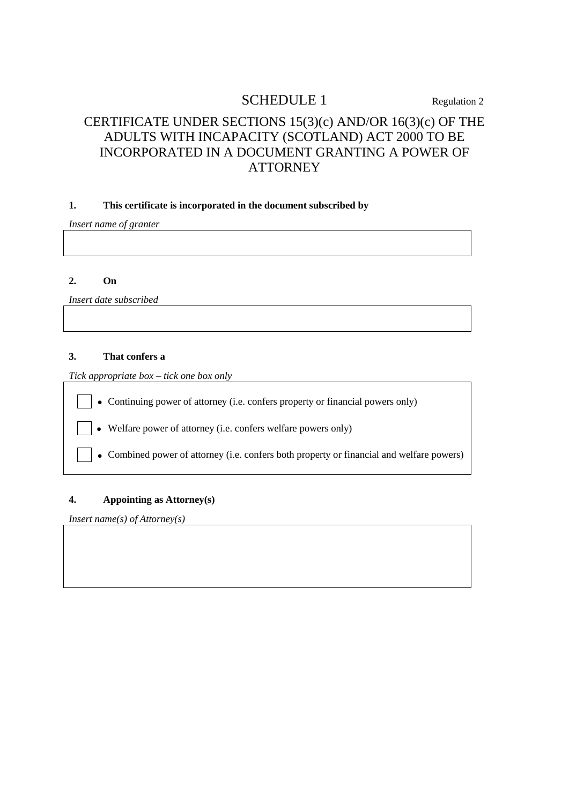# SCHEDULE 1 Regulation 2

## CERTIFICATE UNDER SECTIONS 15(3)(c) AND/OR 16(3)(c) OF THE ADULTS WITH INCAPACITY (SCOTLAND) ACT 2000 TO BE INCORPORATED IN A DOCUMENT GRANTING A POWER OF **ATTORNEY**

## **1. This certificate is incorporated in the document subscribed by**

*Insert name of granter*

#### **2. On**

*Insert date subscribed*

#### **3. That confers a**

*Tick appropriate box – tick one box only*

Continuing power of attorney (i.e. confers property or financial powers only)

Welfare power of attorney (i.e. confers welfare powers only)

Combined power of attorney (i.e. confers both property or financial and welfare powers)

### **4. Appointing as Attorney(s)**

*Insert name(s) of Attorney(s)*